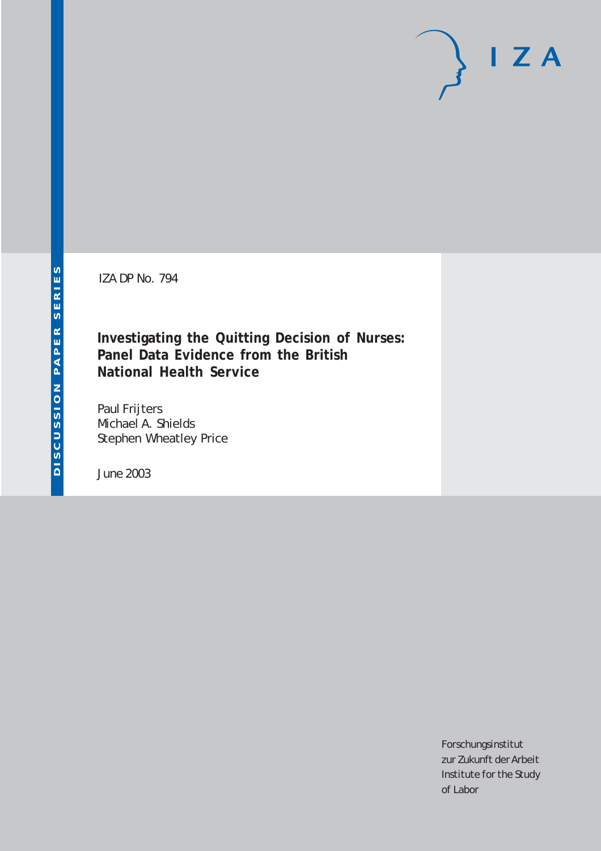IZA DP No. 794

# **Investigating the Quitting Decision of Nurses: Panel Data Evidence from the British National Health Service**

Paul Frijters Michael A. Shields Stephen Wheatley Price

June 2003

Forschungsinstitut zur Zukunft der Arbeit Institute for the Study of Labor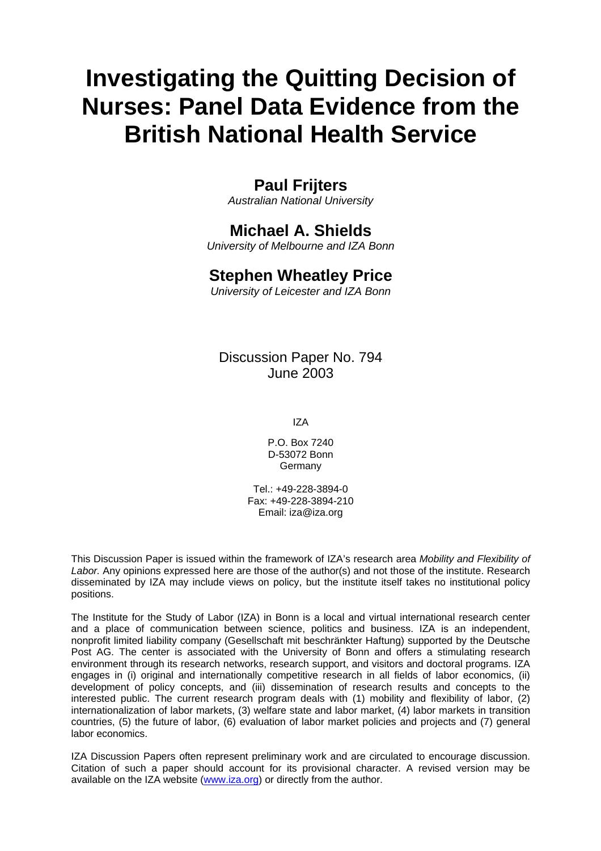# **Investigating the Quitting Decision of Nurses: Panel Data Evidence from the British National Health Service**

# **Paul Frijters**

*Australian National University* 

# **Michael A. Shields**

*University of Melbourne and IZA Bonn* 

# **Stephen Wheatley Price**

*University of Leicester and IZA Bonn*

Discussion Paper No. 794 June 2003

IZA

P.O. Box 7240 D-53072 Bonn Germany

Tel.: +49-228-3894-0 Fax: +49-228-3894-210 Email: [iza@iza.org](mailto:iza@iza.org)

This Discussion Paper is issued within the framework of IZA's research area *Mobility and Flexibility of Labor.* Any opinions expressed here are those of the author(s) and not those of the institute. Research disseminated by IZA may include views on policy, but the institute itself takes no institutional policy positions.

The Institute for the Study of Labor (IZA) in Bonn is a local and virtual international research center and a place of communication between science, politics and business. IZA is an independent, nonprofit limited liability company (Gesellschaft mit beschränkter Haftung) supported by the Deutsche Post AG. The center is associated with the University of Bonn and offers a stimulating research environment through its research networks, research support, and visitors and doctoral programs. IZA engages in (i) original and internationally competitive research in all fields of labor economics, (ii) development of policy concepts, and (iii) dissemination of research results and concepts to the interested public. The current research program deals with (1) mobility and flexibility of labor, (2) internationalization of labor markets, (3) welfare state and labor market, (4) labor markets in transition countries, (5) the future of labor, (6) evaluation of labor market policies and projects and (7) general labor economics.

IZA Discussion Papers often represent preliminary work and are circulated to encourage discussion. Citation of such a paper should account for its provisional character. A revised version may be available on the IZA website ([www.iza.org](http://www.iza.org/)) or directly from the author.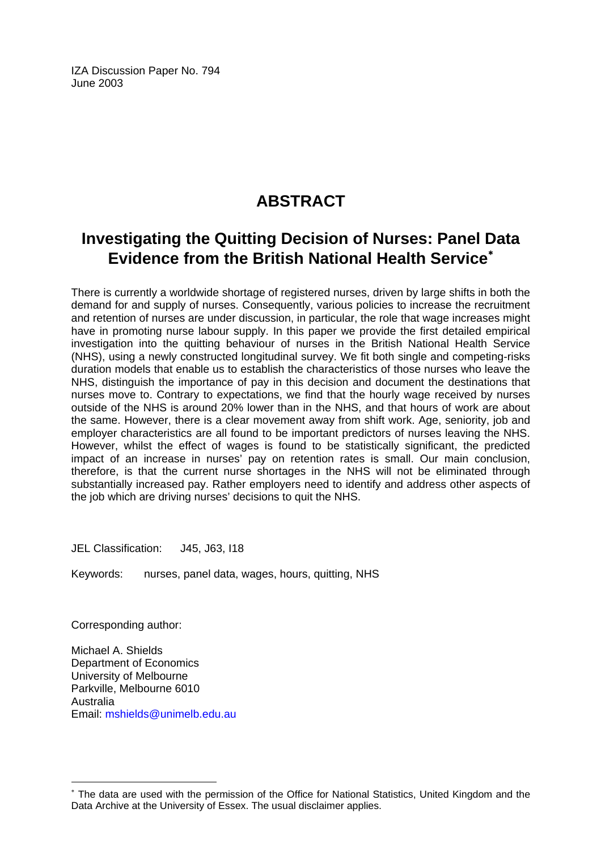IZA Discussion Paper No. 794 June 2003

# **ABSTRACT**

# **Investigating the Quitting Decision of Nurses: Panel Data Evidence from the British National Health Service**[∗](#page-2-0)

There is currently a worldwide shortage of registered nurses, driven by large shifts in both the demand for and supply of nurses. Consequently, various policies to increase the recruitment and retention of nurses are under discussion, in particular, the role that wage increases might have in promoting nurse labour supply. In this paper we provide the first detailed empirical investigation into the quitting behaviour of nurses in the British National Health Service (NHS), using a newly constructed longitudinal survey. We fit both single and competing-risks duration models that enable us to establish the characteristics of those nurses who leave the NHS, distinguish the importance of pay in this decision and document the destinations that nurses move to. Contrary to expectations, we find that the hourly wage received by nurses outside of the NHS is around 20% lower than in the NHS, and that hours of work are about the same. However, there is a clear movement away from shift work. Age, seniority, job and employer characteristics are all found to be important predictors of nurses leaving the NHS. However, whilst the effect of wages is found to be statistically significant, the predicted impact of an increase in nurses' pay on retention rates is small. Our main conclusion, therefore, is that the current nurse shortages in the NHS will not be eliminated through substantially increased pay. Rather employers need to identify and address other aspects of the job which are driving nurses' decisions to quit the NHS.

JEL Classification: J45, J63, I18

Keywords: nurses, panel data, wages, hours, quitting, NHS

Corresponding author:

 $\overline{a}$ 

Michael A. Shields Department of Economics University of Melbourne Parkville, Melbourne 6010 Australia Email: [mshields@unimelb.edu.au](mailto:mshields@unimelb.edu.au) 

<span id="page-2-0"></span><sup>∗</sup> The data are used with the permission of the Office for National Statistics, United Kingdom and the Data Archive at the University of Essex. The usual disclaimer applies.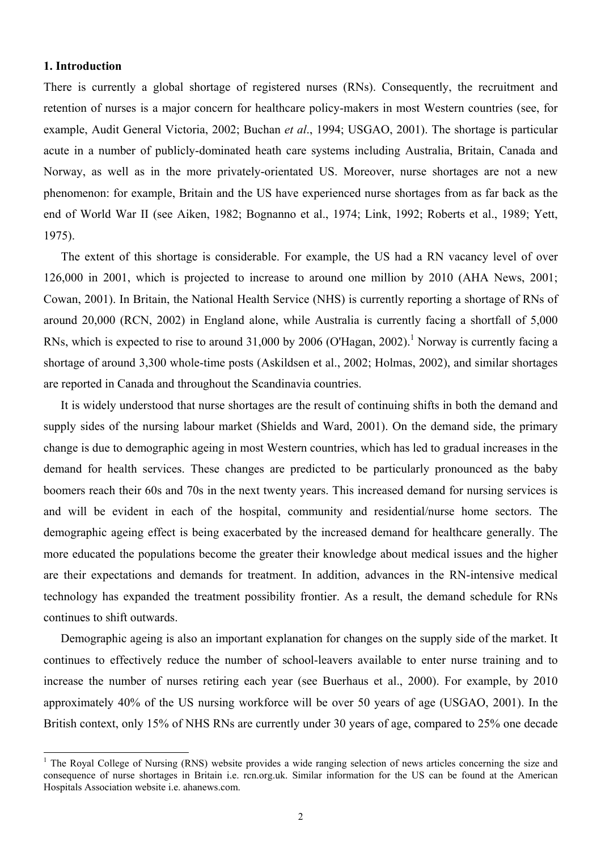#### **1. Introduction**

 $\overline{a}$ 

There is currently a global shortage of registered nurses (RNs). Consequently, the recruitment and retention of nurses is a major concern for healthcare policy-makers in most Western countries (see, for example, Audit General Victoria, 2002; Buchan *et al*., 1994; USGAO, 2001). The shortage is particular acute in a number of publicly-dominated heath care systems including Australia, Britain, Canada and Norway, as well as in the more privately-orientated US. Moreover, nurse shortages are not a new phenomenon: for example, Britain and the US have experienced nurse shortages from as far back as the end of World War II (see Aiken, 1982; Bognanno et al., 1974; Link, 1992; Roberts et al., 1989; Yett, 1975).

The extent of this shortage is considerable. For example, the US had a RN vacancy level of over 126,000 in 2001, which is projected to increase to around one million by 2010 (AHA News, 2001; Cowan, 2001). In Britain, the National Health Service (NHS) is currently reporting a shortage of RNs of around 20,000 (RCN, 2002) in England alone, while Australia is currently facing a shortfall of 5,000 RNs, which is expected to rise to around  $31,000$  by 2006 (O'Hagan, 2002).<sup>1</sup> Norway is currently facing a shortage of around 3,300 whole-time posts (Askildsen et al., 2002; Holmas, 2002), and similar shortages are reported in Canada and throughout the Scandinavia countries.

It is widely understood that nurse shortages are the result of continuing shifts in both the demand and supply sides of the nursing labour market (Shields and Ward, 2001). On the demand side, the primary change is due to demographic ageing in most Western countries, which has led to gradual increases in the demand for health services. These changes are predicted to be particularly pronounced as the baby boomers reach their 60s and 70s in the next twenty years. This increased demand for nursing services is and will be evident in each of the hospital, community and residential/nurse home sectors. The demographic ageing effect is being exacerbated by the increased demand for healthcare generally. The more educated the populations become the greater their knowledge about medical issues and the higher are their expectations and demands for treatment. In addition, advances in the RN-intensive medical technology has expanded the treatment possibility frontier. As a result, the demand schedule for RNs continues to shift outwards.

Demographic ageing is also an important explanation for changes on the supply side of the market. It continues to effectively reduce the number of school-leavers available to enter nurse training and to increase the number of nurses retiring each year (see Buerhaus et al., 2000). For example, by 2010 approximately 40% of the US nursing workforce will be over 50 years of age (USGAO, 2001). In the British context, only 15% of NHS RNs are currently under 30 years of age, compared to 25% one decade

<sup>&</sup>lt;sup>1</sup> The Royal College of Nursing (RNS) website provides a wide ranging selection of news articles concerning the size and consequence of nurse shortages in Britain i.e. rcn.org.uk. Similar information for the US can be found at the American Hospitals Association website i.e. ahanews.com.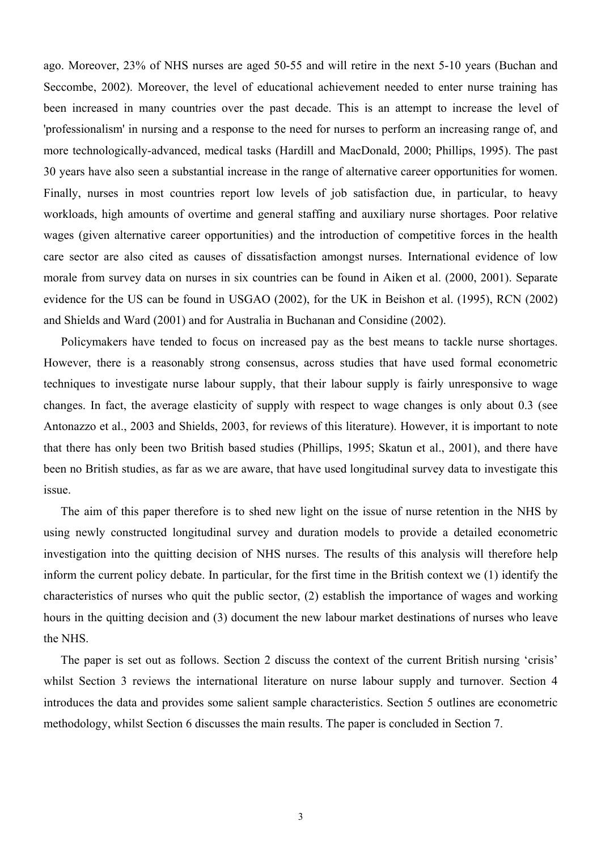ago. Moreover, 23% of NHS nurses are aged 50-55 and will retire in the next 5-10 years (Buchan and Seccombe, 2002). Moreover, the level of educational achievement needed to enter nurse training has been increased in many countries over the past decade. This is an attempt to increase the level of 'professionalism' in nursing and a response to the need for nurses to perform an increasing range of, and more technologically-advanced, medical tasks (Hardill and MacDonald, 2000; Phillips, 1995). The past 30 years have also seen a substantial increase in the range of alternative career opportunities for women. Finally, nurses in most countries report low levels of job satisfaction due, in particular, to heavy workloads, high amounts of overtime and general staffing and auxiliary nurse shortages. Poor relative wages (given alternative career opportunities) and the introduction of competitive forces in the health care sector are also cited as causes of dissatisfaction amongst nurses. International evidence of low morale from survey data on nurses in six countries can be found in Aiken et al. (2000, 2001). Separate evidence for the US can be found in USGAO (2002), for the UK in Beishon et al. (1995), RCN (2002) and Shields and Ward (2001) and for Australia in Buchanan and Considine (2002).

 Policymakers have tended to focus on increased pay as the best means to tackle nurse shortages. However, there is a reasonably strong consensus, across studies that have used formal econometric techniques to investigate nurse labour supply, that their labour supply is fairly unresponsive to wage changes. In fact, the average elasticity of supply with respect to wage changes is only about 0.3 (see Antonazzo et al., 2003 and Shields, 2003, for reviews of this literature). However, it is important to note that there has only been two British based studies (Phillips, 1995; Skatun et al., 2001), and there have been no British studies, as far as we are aware, that have used longitudinal survey data to investigate this issue.

The aim of this paper therefore is to shed new light on the issue of nurse retention in the NHS by using newly constructed longitudinal survey and duration models to provide a detailed econometric investigation into the quitting decision of NHS nurses. The results of this analysis will therefore help inform the current policy debate. In particular, for the first time in the British context we (1) identify the characteristics of nurses who quit the public sector, (2) establish the importance of wages and working hours in the quitting decision and (3) document the new labour market destinations of nurses who leave the NHS.

The paper is set out as follows. Section 2 discuss the context of the current British nursing 'crisis' whilst Section 3 reviews the international literature on nurse labour supply and turnover. Section 4 introduces the data and provides some salient sample characteristics. Section 5 outlines are econometric methodology, whilst Section 6 discusses the main results. The paper is concluded in Section 7.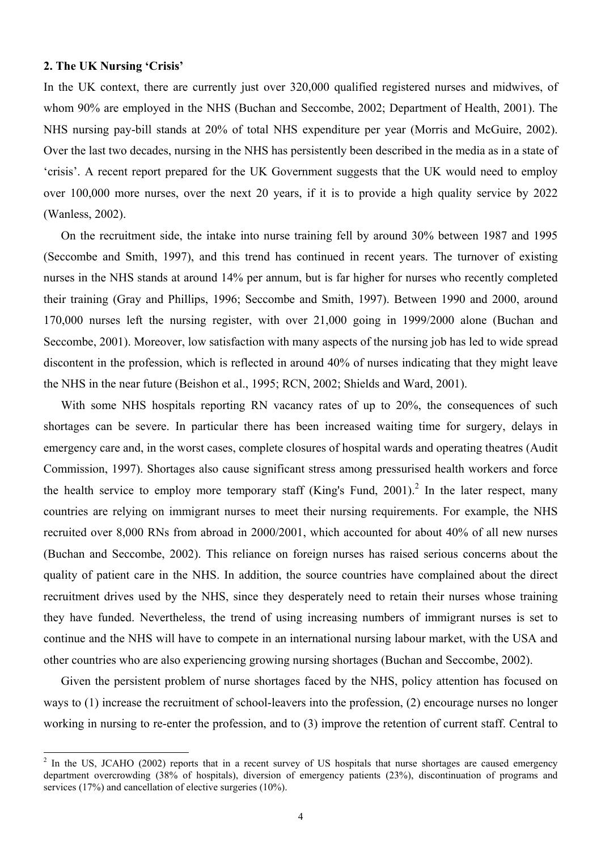#### **2. The UK Nursing 'Crisis'**

 $\overline{a}$ 

In the UK context, there are currently just over 320,000 qualified registered nurses and midwives, of whom 90% are employed in the NHS (Buchan and Seccombe, 2002; Department of Health, 2001). The NHS nursing pay-bill stands at 20% of total NHS expenditure per year (Morris and McGuire, 2002). Over the last two decades, nursing in the NHS has persistently been described in the media as in a state of 'crisis'. A recent report prepared for the UK Government suggests that the UK would need to employ over 100,000 more nurses, over the next 20 years, if it is to provide a high quality service by 2022 (Wanless, 2002).

 On the recruitment side, the intake into nurse training fell by around 30% between 1987 and 1995 (Seccombe and Smith, 1997), and this trend has continued in recent years. The turnover of existing nurses in the NHS stands at around 14% per annum, but is far higher for nurses who recently completed their training (Gray and Phillips, 1996; Seccombe and Smith, 1997). Between 1990 and 2000, around 170,000 nurses left the nursing register, with over 21,000 going in 1999/2000 alone (Buchan and Seccombe, 2001). Moreover, low satisfaction with many aspects of the nursing job has led to wide spread discontent in the profession, which is reflected in around 40% of nurses indicating that they might leave the NHS in the near future (Beishon et al., 1995; RCN, 2002; Shields and Ward, 2001).

With some NHS hospitals reporting RN vacancy rates of up to 20%, the consequences of such shortages can be severe. In particular there has been increased waiting time for surgery, delays in emergency care and, in the worst cases, complete closures of hospital wards and operating theatres (Audit Commission, 1997). Shortages also cause significant stress among pressurised health workers and force the health service to employ more temporary staff (King's Fund, 2001).<sup>2</sup> In the later respect, many countries are relying on immigrant nurses to meet their nursing requirements. For example, the NHS recruited over 8,000 RNs from abroad in 2000/2001, which accounted for about 40% of all new nurses (Buchan and Seccombe, 2002). This reliance on foreign nurses has raised serious concerns about the quality of patient care in the NHS. In addition, the source countries have complained about the direct recruitment drives used by the NHS, since they desperately need to retain their nurses whose training they have funded. Nevertheless, the trend of using increasing numbers of immigrant nurses is set to continue and the NHS will have to compete in an international nursing labour market, with the USA and other countries who are also experiencing growing nursing shortages (Buchan and Seccombe, 2002).

 Given the persistent problem of nurse shortages faced by the NHS, policy attention has focused on ways to (1) increase the recruitment of school-leavers into the profession, (2) encourage nurses no longer working in nursing to re-enter the profession, and to (3) improve the retention of current staff. Central to

 $2$  In the US, JCAHO (2002) reports that in a recent survey of US hospitals that nurse shortages are caused emergency department overcrowding (38% of hospitals), diversion of emergency patients (23%), discontinuation of programs and services (17%) and cancellation of elective surgeries (10%).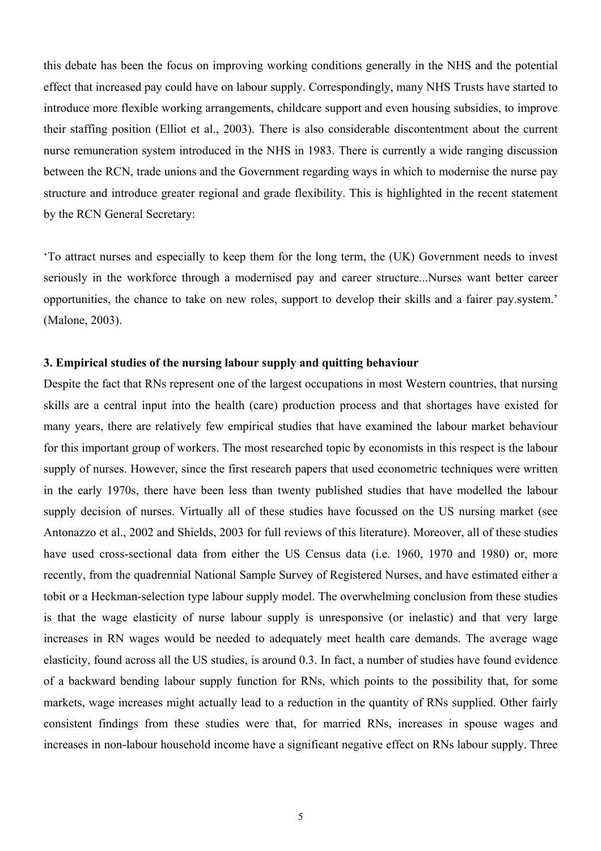this debate has been the focus on improving working conditions generally in the NHS and the potential effect that increased pay could have on labour supply. Correspondingly, many NHS Trusts have started to introduce more flexible working arrangements, childcare support and even housing subsidies, to improve their staffing position (Elliot et al., 2003). There is also considerable discontentment about the current nurse remuneration system introduced in the NHS in 1983. There is currently a wide ranging discussion between the RCN, trade unions and the Government regarding ways in which to modernise the nurse pay structure and introduce greater regional and grade flexibility. This is highlighted in the recent statement by the RCN General Secretary:

'To attract nurses and especially to keep them for the long term, the (UK) Government needs to invest seriously in the workforce through a modernised pay and career structure...Nurses want better career opportunities, the chance to take on new roles, support to develop their skills and a fairer pay.system.' (Malone, 2003).

### **3. Empirical studies of the nursing labour supply and quitting behaviour**

Despite the fact that RNs represent one of the largest occupations in most Western countries, that nursing skills are a central input into the health (care) production process and that shortages have existed for many years, there are relatively few empirical studies that have examined the labour market behaviour for this important group of workers. The most researched topic by economists in this respect is the labour supply of nurses. However, since the first research papers that used econometric techniques were written in the early 1970s, there have been less than twenty published studies that have modelled the labour supply decision of nurses. Virtually all of these studies have focussed on the US nursing market (see Antonazzo et al., 2002 and Shields, 2003 for full reviews of this literature). Moreover, all of these studies have used cross-sectional data from either the US Census data (i.e. 1960, 1970 and 1980) or, more recently, from the quadrennial National Sample Survey of Registered Nurses, and have estimated either a tobit or a Heckman-selection type labour supply model. The overwhelming conclusion from these studies is that the wage elasticity of nurse labour supply is unresponsive (or inelastic) and that very large increases in RN wages would be needed to adequately meet health care demands. The average wage elasticity, found across all the US studies, is around 0.3. In fact, a number of studies have found evidence of a backward bending labour supply function for RNs, which points to the possibility that, for some markets, wage increases might actually lead to a reduction in the quantity of RNs supplied. Other fairly consistent findings from these studies were that, for married RNs, increases in spouse wages and increases in non-labour household income have a significant negative effect on RNs labour supply. Three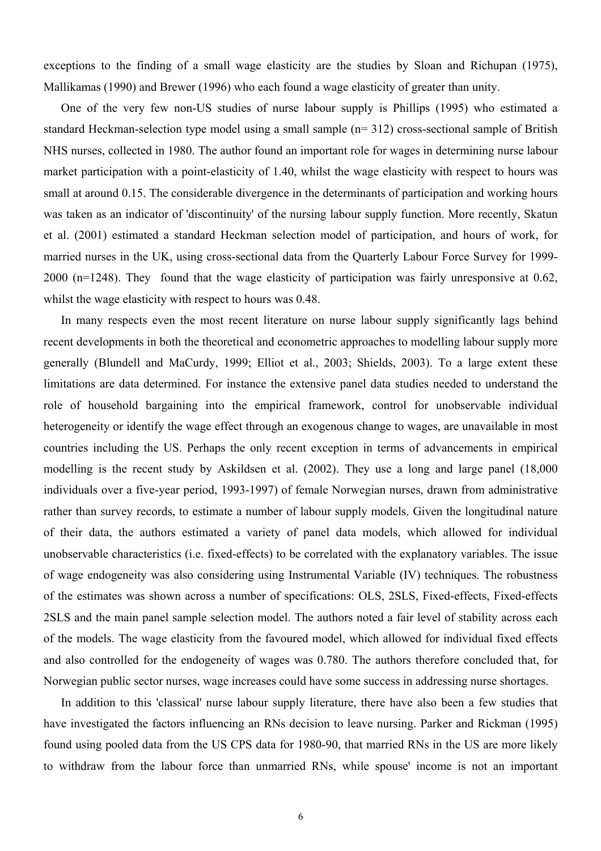exceptions to the finding of a small wage elasticity are the studies by Sloan and Richupan (1975), Mallikamas (1990) and Brewer (1996) who each found a wage elasticity of greater than unity.

 One of the very few non-US studies of nurse labour supply is Phillips (1995) who estimated a standard Heckman-selection type model using a small sample (n= 312) cross-sectional sample of British NHS nurses, collected in 1980. The author found an important role for wages in determining nurse labour market participation with a point-elasticity of 1.40, whilst the wage elasticity with respect to hours was small at around 0.15. The considerable divergence in the determinants of participation and working hours was taken as an indicator of 'discontinuity' of the nursing labour supply function. More recently, Skatun et al. (2001) estimated a standard Heckman selection model of participation, and hours of work, for married nurses in the UK, using cross-sectional data from the Quarterly Labour Force Survey for 1999- 2000 (n=1248). They found that the wage elasticity of participation was fairly unresponsive at 0.62, whilst the wage elasticity with respect to hours was 0.48.

 In many respects even the most recent literature on nurse labour supply significantly lags behind recent developments in both the theoretical and econometric approaches to modelling labour supply more generally (Blundell and MaCurdy, 1999; Elliot et al., 2003; Shields, 2003). To a large extent these limitations are data determined. For instance the extensive panel data studies needed to understand the role of household bargaining into the empirical framework, control for unobservable individual heterogeneity or identify the wage effect through an exogenous change to wages, are unavailable in most countries including the US. Perhaps the only recent exception in terms of advancements in empirical modelling is the recent study by Askildsen et al. (2002). They use a long and large panel (18,000 individuals over a five-year period, 1993-1997) of female Norwegian nurses, drawn from administrative rather than survey records, to estimate a number of labour supply models. Given the longitudinal nature of their data, the authors estimated a variety of panel data models, which allowed for individual unobservable characteristics (i.e. fixed-effects) to be correlated with the explanatory variables. The issue of wage endogeneity was also considering using Instrumental Variable (IV) techniques. The robustness of the estimates was shown across a number of specifications: OLS, 2SLS, Fixed-effects, Fixed-effects 2SLS and the main panel sample selection model. The authors noted a fair level of stability across each of the models. The wage elasticity from the favoured model, which allowed for individual fixed effects and also controlled for the endogeneity of wages was 0.780. The authors therefore concluded that, for Norwegian public sector nurses, wage increases could have some success in addressing nurse shortages.

 In addition to this 'classical' nurse labour supply literature, there have also been a few studies that have investigated the factors influencing an RNs decision to leave nursing. Parker and Rickman (1995) found using pooled data from the US CPS data for 1980-90, that married RNs in the US are more likely to withdraw from the labour force than unmarried RNs, while spouse' income is not an important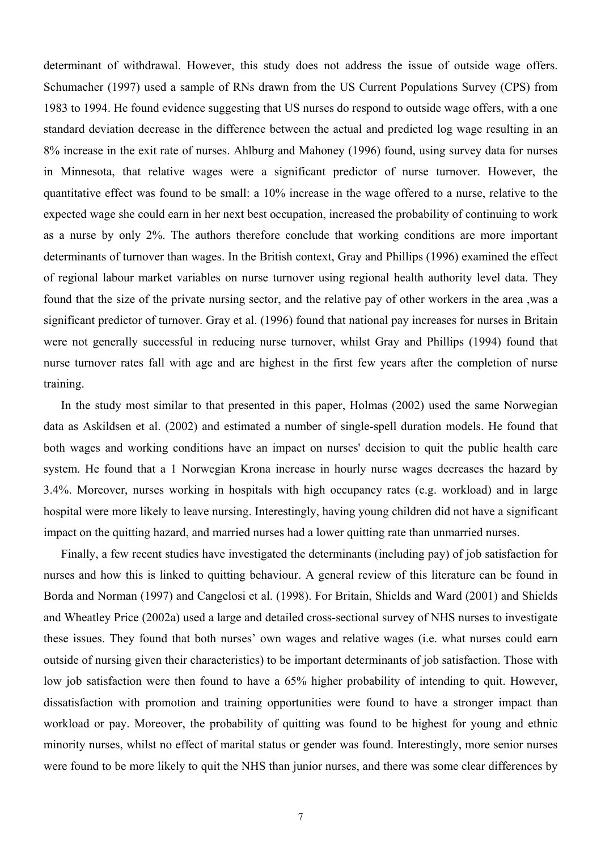determinant of withdrawal. However, this study does not address the issue of outside wage offers. Schumacher (1997) used a sample of RNs drawn from the US Current Populations Survey (CPS) from 1983 to 1994. He found evidence suggesting that US nurses do respond to outside wage offers, with a one standard deviation decrease in the difference between the actual and predicted log wage resulting in an 8% increase in the exit rate of nurses. Ahlburg and Mahoney (1996) found, using survey data for nurses in Minnesota, that relative wages were a significant predictor of nurse turnover. However, the quantitative effect was found to be small: a 10% increase in the wage offered to a nurse, relative to the expected wage she could earn in her next best occupation, increased the probability of continuing to work as a nurse by only 2%. The authors therefore conclude that working conditions are more important determinants of turnover than wages. In the British context, Gray and Phillips (1996) examined the effect of regional labour market variables on nurse turnover using regional health authority level data. They found that the size of the private nursing sector, and the relative pay of other workers in the area ,was a significant predictor of turnover. Gray et al. (1996) found that national pay increases for nurses in Britain were not generally successful in reducing nurse turnover, whilst Gray and Phillips (1994) found that nurse turnover rates fall with age and are highest in the first few years after the completion of nurse training.

 In the study most similar to that presented in this paper, Holmas (2002) used the same Norwegian data as Askildsen et al. (2002) and estimated a number of single-spell duration models. He found that both wages and working conditions have an impact on nurses' decision to quit the public health care system. He found that a 1 Norwegian Krona increase in hourly nurse wages decreases the hazard by 3.4%. Moreover, nurses working in hospitals with high occupancy rates (e.g. workload) and in large hospital were more likely to leave nursing. Interestingly, having young children did not have a significant impact on the quitting hazard, and married nurses had a lower quitting rate than unmarried nurses.

 Finally, a few recent studies have investigated the determinants (including pay) of job satisfaction for nurses and how this is linked to quitting behaviour. A general review of this literature can be found in Borda and Norman (1997) and Cangelosi et al. (1998). For Britain, Shields and Ward (2001) and Shields and Wheatley Price (2002a) used a large and detailed cross-sectional survey of NHS nurses to investigate these issues. They found that both nurses' own wages and relative wages (i.e. what nurses could earn outside of nursing given their characteristics) to be important determinants of job satisfaction. Those with low job satisfaction were then found to have a 65% higher probability of intending to quit. However, dissatisfaction with promotion and training opportunities were found to have a stronger impact than workload or pay. Moreover, the probability of quitting was found to be highest for young and ethnic minority nurses, whilst no effect of marital status or gender was found. Interestingly, more senior nurses were found to be more likely to quit the NHS than junior nurses, and there was some clear differences by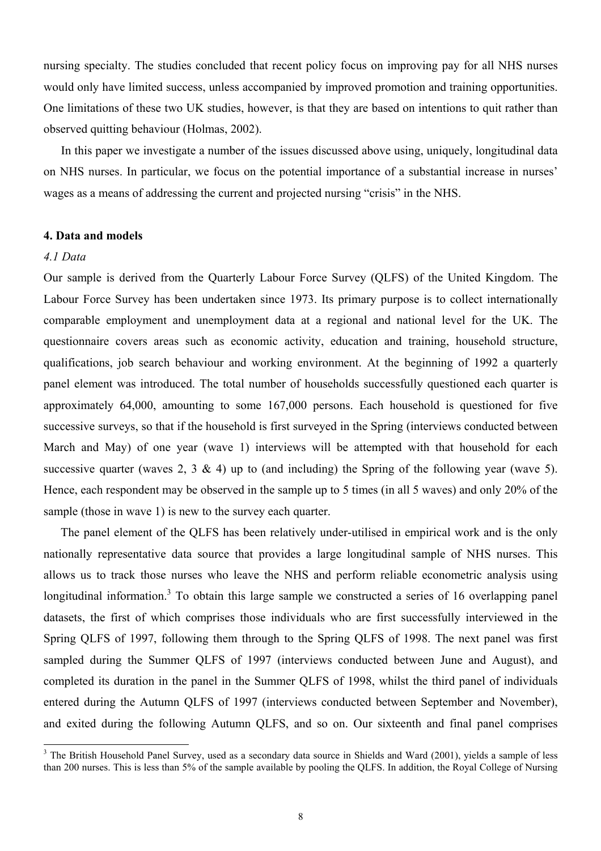nursing specialty. The studies concluded that recent policy focus on improving pay for all NHS nurses would only have limited success, unless accompanied by improved promotion and training opportunities. One limitations of these two UK studies, however, is that they are based on intentions to quit rather than observed quitting behaviour (Holmas, 2002).

 In this paper we investigate a number of the issues discussed above using, uniquely, longitudinal data on NHS nurses. In particular, we focus on the potential importance of a substantial increase in nurses' wages as a means of addressing the current and projected nursing "crisis" in the NHS.

#### **4. Data and models**

### *4.1 Data*

 $\overline{a}$ 

Our sample is derived from the Quarterly Labour Force Survey (QLFS) of the United Kingdom. The Labour Force Survey has been undertaken since 1973. Its primary purpose is to collect internationally comparable employment and unemployment data at a regional and national level for the UK. The questionnaire covers areas such as economic activity, education and training, household structure, qualifications, job search behaviour and working environment. At the beginning of 1992 a quarterly panel element was introduced. The total number of households successfully questioned each quarter is approximately 64,000, amounting to some 167,000 persons. Each household is questioned for five successive surveys, so that if the household is first surveyed in the Spring (interviews conducted between March and May) of one year (wave 1) interviews will be attempted with that household for each successive quarter (waves 2, 3  $\&$  4) up to (and including) the Spring of the following year (wave 5). Hence, each respondent may be observed in the sample up to 5 times (in all 5 waves) and only 20% of the sample (those in wave 1) is new to the survey each quarter.

The panel element of the QLFS has been relatively under-utilised in empirical work and is the only nationally representative data source that provides a large longitudinal sample of NHS nurses. This allows us to track those nurses who leave the NHS and perform reliable econometric analysis using longitudinal information.<sup>3</sup> To obtain this large sample we constructed a series of 16 overlapping panel datasets, the first of which comprises those individuals who are first successfully interviewed in the Spring QLFS of 1997, following them through to the Spring QLFS of 1998. The next panel was first sampled during the Summer QLFS of 1997 (interviews conducted between June and August), and completed its duration in the panel in the Summer QLFS of 1998, whilst the third panel of individuals entered during the Autumn QLFS of 1997 (interviews conducted between September and November), and exited during the following Autumn QLFS, and so on. Our sixteenth and final panel comprises

<sup>&</sup>lt;sup>3</sup> The British Household Panel Survey, used as a secondary data source in Shields and Ward (2001), yields a sample of less than 200 nurses. This is less than 5% of the sample available by pooling the QLFS. In addition, the Royal College of Nursing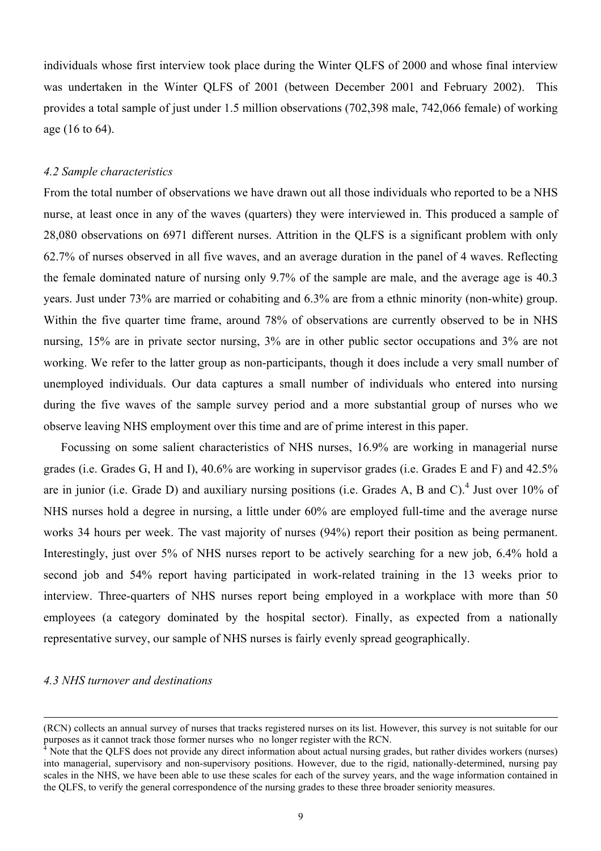individuals whose first interview took place during the Winter QLFS of 2000 and whose final interview was undertaken in the Winter QLFS of 2001 (between December 2001 and February 2002). This provides a total sample of just under 1.5 million observations (702,398 male, 742,066 female) of working age (16 to 64).

### *4.2 Sample characteristics*

From the total number of observations we have drawn out all those individuals who reported to be a NHS nurse, at least once in any of the waves (quarters) they were interviewed in. This produced a sample of 28,080 observations on 6971 different nurses. Attrition in the QLFS is a significant problem with only 62.7% of nurses observed in all five waves, and an average duration in the panel of 4 waves. Reflecting the female dominated nature of nursing only 9.7% of the sample are male, and the average age is 40.3 years. Just under 73% are married or cohabiting and 6.3% are from a ethnic minority (non-white) group. Within the five quarter time frame, around 78% of observations are currently observed to be in NHS nursing, 15% are in private sector nursing, 3% are in other public sector occupations and 3% are not working. We refer to the latter group as non-participants, though it does include a very small number of unemployed individuals. Our data captures a small number of individuals who entered into nursing during the five waves of the sample survey period and a more substantial group of nurses who we observe leaving NHS employment over this time and are of prime interest in this paper.

 Focussing on some salient characteristics of NHS nurses, 16.9% are working in managerial nurse grades (i.e. Grades G, H and I), 40.6% are working in supervisor grades (i.e. Grades E and F) and 42.5% are in junior (i.e. Grade D) and auxiliary nursing positions (i.e. Grades A, B and C).<sup>4</sup> Just over 10% of NHS nurses hold a degree in nursing, a little under 60% are employed full-time and the average nurse works 34 hours per week. The vast majority of nurses (94%) report their position as being permanent. Interestingly, just over 5% of NHS nurses report to be actively searching for a new job, 6.4% hold a second job and 54% report having participated in work-related training in the 13 weeks prior to interview. Three-quarters of NHS nurses report being employed in a workplace with more than 50 employees (a category dominated by the hospital sector). Finally, as expected from a nationally representative survey, our sample of NHS nurses is fairly evenly spread geographically.

#### *4.3 NHS turnover and destinations*

 $\overline{a}$ 

<sup>(</sup>RCN) collects an annual survey of nurses that tracks registered nurses on its list. However, this survey is not suitable for our purposes as it cannot track those former nurses who no longer register with the RCN.

<sup>4</sup> Note that the QLFS does not provide any direct information about actual nursing grades, but rather divides workers (nurses) into managerial, supervisory and non-supervisory positions. However, due to the rigid, nationally-determined, nursing pay scales in the NHS, we have been able to use these scales for each of the survey years, and the wage information contained in the QLFS, to verify the general correspondence of the nursing grades to these three broader seniority measures.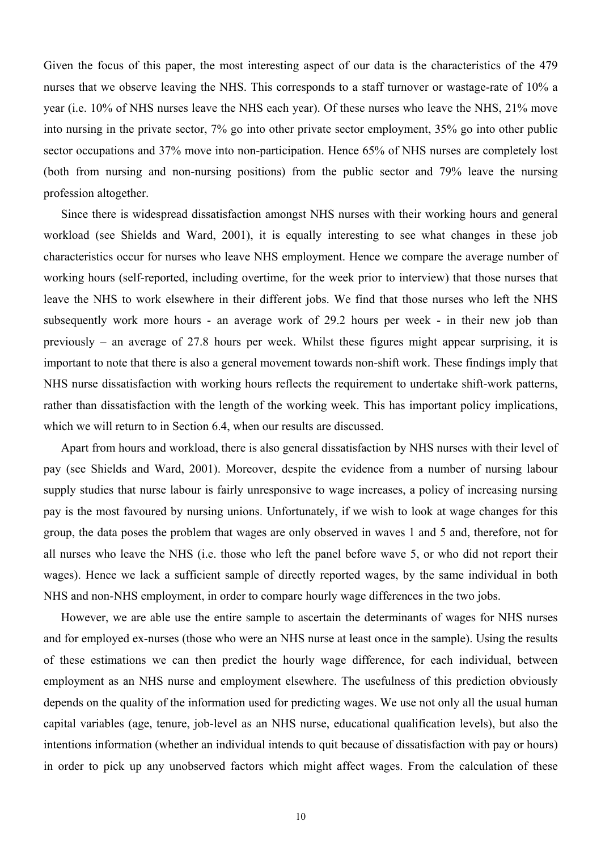Given the focus of this paper, the most interesting aspect of our data is the characteristics of the 479 nurses that we observe leaving the NHS. This corresponds to a staff turnover or wastage-rate of 10% a year (i.e. 10% of NHS nurses leave the NHS each year). Of these nurses who leave the NHS, 21% move into nursing in the private sector, 7% go into other private sector employment, 35% go into other public sector occupations and 37% move into non-participation. Hence 65% of NHS nurses are completely lost (both from nursing and non-nursing positions) from the public sector and 79% leave the nursing profession altogether.

 Since there is widespread dissatisfaction amongst NHS nurses with their working hours and general workload (see Shields and Ward, 2001), it is equally interesting to see what changes in these job characteristics occur for nurses who leave NHS employment. Hence we compare the average number of working hours (self-reported, including overtime, for the week prior to interview) that those nurses that leave the NHS to work elsewhere in their different jobs. We find that those nurses who left the NHS subsequently work more hours - an average work of 29.2 hours per week - in their new job than previously – an average of 27.8 hours per week. Whilst these figures might appear surprising, it is important to note that there is also a general movement towards non-shift work. These findings imply that NHS nurse dissatisfaction with working hours reflects the requirement to undertake shift-work patterns, rather than dissatisfaction with the length of the working week. This has important policy implications, which we will return to in Section 6.4, when our results are discussed.

 Apart from hours and workload, there is also general dissatisfaction by NHS nurses with their level of pay (see Shields and Ward, 2001). Moreover, despite the evidence from a number of nursing labour supply studies that nurse labour is fairly unresponsive to wage increases, a policy of increasing nursing pay is the most favoured by nursing unions. Unfortunately, if we wish to look at wage changes for this group, the data poses the problem that wages are only observed in waves 1 and 5 and, therefore, not for all nurses who leave the NHS (i.e. those who left the panel before wave 5, or who did not report their wages). Hence we lack a sufficient sample of directly reported wages, by the same individual in both NHS and non-NHS employment, in order to compare hourly wage differences in the two jobs.

However, we are able use the entire sample to ascertain the determinants of wages for NHS nurses and for employed ex-nurses (those who were an NHS nurse at least once in the sample). Using the results of these estimations we can then predict the hourly wage difference, for each individual, between employment as an NHS nurse and employment elsewhere. The usefulness of this prediction obviously depends on the quality of the information used for predicting wages. We use not only all the usual human capital variables (age, tenure, job-level as an NHS nurse, educational qualification levels), but also the intentions information (whether an individual intends to quit because of dissatisfaction with pay or hours) in order to pick up any unobserved factors which might affect wages. From the calculation of these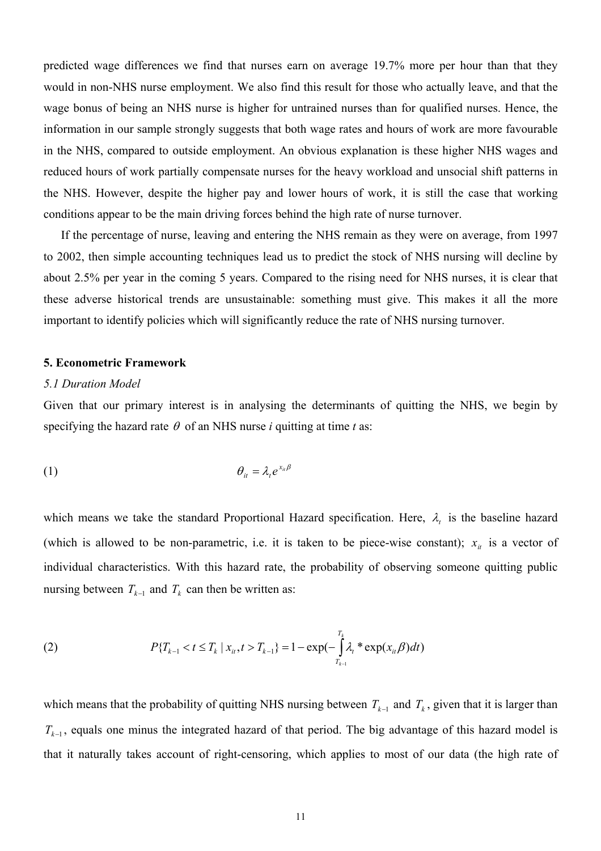predicted wage differences we find that nurses earn on average 19.7% more per hour than that they would in non-NHS nurse employment. We also find this result for those who actually leave, and that the wage bonus of being an NHS nurse is higher for untrained nurses than for qualified nurses. Hence, the information in our sample strongly suggests that both wage rates and hours of work are more favourable in the NHS, compared to outside employment. An obvious explanation is these higher NHS wages and reduced hours of work partially compensate nurses for the heavy workload and unsocial shift patterns in the NHS. However, despite the higher pay and lower hours of work, it is still the case that working conditions appear to be the main driving forces behind the high rate of nurse turnover.

 If the percentage of nurse, leaving and entering the NHS remain as they were on average, from 1997 to 2002, then simple accounting techniques lead us to predict the stock of NHS nursing will decline by about 2.5% per year in the coming 5 years. Compared to the rising need for NHS nurses, it is clear that these adverse historical trends are unsustainable: something must give. This makes it all the more important to identify policies which will significantly reduce the rate of NHS nursing turnover.

#### **5. Econometric Framework**

#### *5.1 Duration Model*

Given that our primary interest is in analysing the determinants of quitting the NHS, we begin by specifying the hazard rate  $\theta$  of an NHS nurse *i* quitting at time *t* as:

$$
\theta_{it} = \lambda_t e^{x_{it}\beta}
$$

which means we take the standard Proportional Hazard specification. Here,  $\lambda_t$  is the baseline hazard (which is allowed to be non-parametric, i.e. it is taken to be piece-wise constant);  $x_{i}$  is a vector of individual characteristics. With this hazard rate, the probability of observing someone quitting public nursing between  $T_{k-1}$  and  $T_k$  can then be written as:

(2) 
$$
P\{T_{k-1} < t \leq T_k \mid x_{it}, t > T_{k-1}\} = 1 - \exp(-\int_{T_{k-1}}^{T_k} \lambda_t * \exp(x_{it} \beta) dt)
$$

which means that the probability of quitting NHS nursing between  $T_{k-1}$  and  $T_k$ , given that it is larger than  $T_{k-1}$ , equals one minus the integrated hazard of that period. The big advantage of this hazard model is that it naturally takes account of right-censoring, which applies to most of our data (the high rate of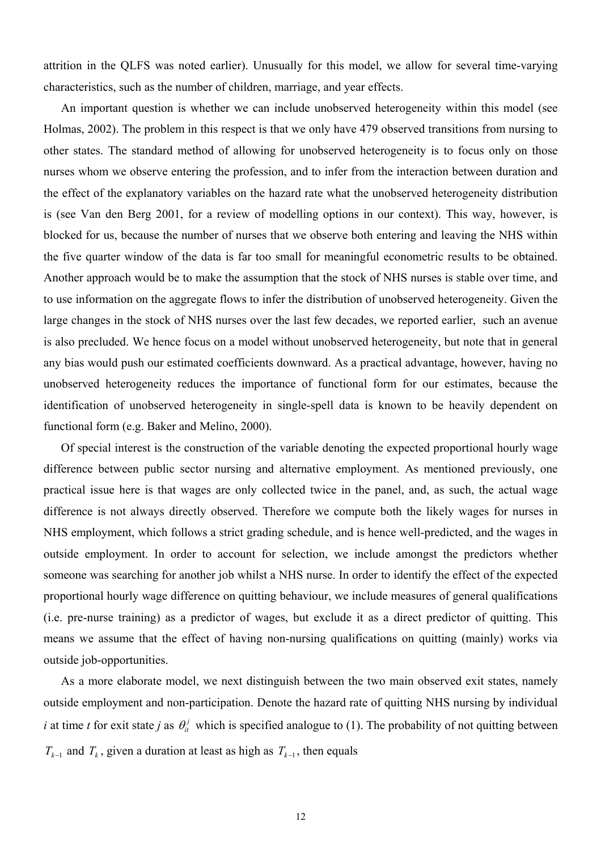attrition in the QLFS was noted earlier). Unusually for this model, we allow for several time-varying characteristics, such as the number of children, marriage, and year effects.

 An important question is whether we can include unobserved heterogeneity within this model (see Holmas, 2002). The problem in this respect is that we only have 479 observed transitions from nursing to other states. The standard method of allowing for unobserved heterogeneity is to focus only on those nurses whom we observe entering the profession, and to infer from the interaction between duration and the effect of the explanatory variables on the hazard rate what the unobserved heterogeneity distribution is (see Van den Berg 2001, for a review of modelling options in our context). This way, however, is blocked for us, because the number of nurses that we observe both entering and leaving the NHS within the five quarter window of the data is far too small for meaningful econometric results to be obtained. Another approach would be to make the assumption that the stock of NHS nurses is stable over time, and to use information on the aggregate flows to infer the distribution of unobserved heterogeneity. Given the large changes in the stock of NHS nurses over the last few decades, we reported earlier, such an avenue is also precluded. We hence focus on a model without unobserved heterogeneity, but note that in general any bias would push our estimated coefficients downward. As a practical advantage, however, having no unobserved heterogeneity reduces the importance of functional form for our estimates, because the identification of unobserved heterogeneity in single-spell data is known to be heavily dependent on functional form (e.g. Baker and Melino, 2000).

 Of special interest is the construction of the variable denoting the expected proportional hourly wage difference between public sector nursing and alternative employment. As mentioned previously, one practical issue here is that wages are only collected twice in the panel, and, as such, the actual wage difference is not always directly observed. Therefore we compute both the likely wages for nurses in NHS employment, which follows a strict grading schedule, and is hence well-predicted, and the wages in outside employment. In order to account for selection, we include amongst the predictors whether someone was searching for another job whilst a NHS nurse. In order to identify the effect of the expected proportional hourly wage difference on quitting behaviour, we include measures of general qualifications (i.e. pre-nurse training) as a predictor of wages, but exclude it as a direct predictor of quitting. This means we assume that the effect of having non-nursing qualifications on quitting (mainly) works via outside job-opportunities.

 As a more elaborate model, we next distinguish between the two main observed exit states, namely outside employment and non-participation. Denote the hazard rate of quitting NHS nursing by individual *i* at time *t* for exit state *j* as  $\theta_i^j$  which is specified analogue to (1). The probability of not quitting between  $T_{k-1}$  and  $T_k$ , given a duration at least as high as  $T_{k-1}$ , then equals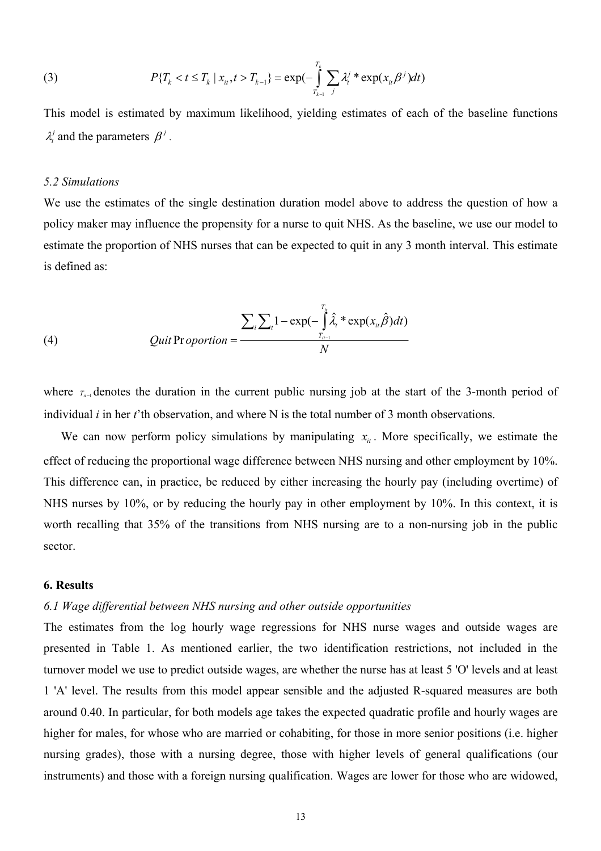(3) 
$$
P\{T_k < t \leq T_k \mid x_{it}, t > T_{k-1}\} = \exp(-\int_{T_{k-1}}^{T_k} \sum_j \lambda_t^j * \exp(x_{it}\beta^j) dt)
$$

This model is estimated by maximum likelihood, yielding estimates of each of the baseline functions  $\lambda_i^j$  and the parameters  $\beta^j$ .

### *5.2 Simulations*

We use the estimates of the single destination duration model above to address the question of how a policy maker may influence the propensity for a nurse to quit NHS. As the baseline, we use our model to estimate the proportion of NHS nurses that can be expected to quit in any 3 month interval. This estimate is defined as:

(4) 
$$
Quit\,Proportion = \frac{\sum_{i}\sum_{t}1-\exp(-\int_{T_{ii-1}}^{T_u}\hat{\lambda}_t*\exp(x_{it}\hat{\beta})dt)}{N}
$$

where *T<sub>it−1</sub>* denotes the duration in the current public nursing job at the start of the 3-month period of individual *i* in her *t*'th observation, and where N is the total number of 3 month observations.

We can now perform policy simulations by manipulating  $x_{i}$ . More specifically, we estimate the effect of reducing the proportional wage difference between NHS nursing and other employment by 10%. This difference can, in practice, be reduced by either increasing the hourly pay (including overtime) of NHS nurses by 10%, or by reducing the hourly pay in other employment by 10%. In this context, it is worth recalling that 35% of the transitions from NHS nursing are to a non-nursing job in the public sector.

#### **6. Results**

### *6.1 Wage differential between NHS nursing and other outside opportunities*

The estimates from the log hourly wage regressions for NHS nurse wages and outside wages are presented in Table 1. As mentioned earlier, the two identification restrictions, not included in the turnover model we use to predict outside wages, are whether the nurse has at least 5 'O' levels and at least 1 'A' level. The results from this model appear sensible and the adjusted R-squared measures are both around 0.40. In particular, for both models age takes the expected quadratic profile and hourly wages are higher for males, for whose who are married or cohabiting, for those in more senior positions (i.e. higher nursing grades), those with a nursing degree, those with higher levels of general qualifications (our instruments) and those with a foreign nursing qualification. Wages are lower for those who are widowed,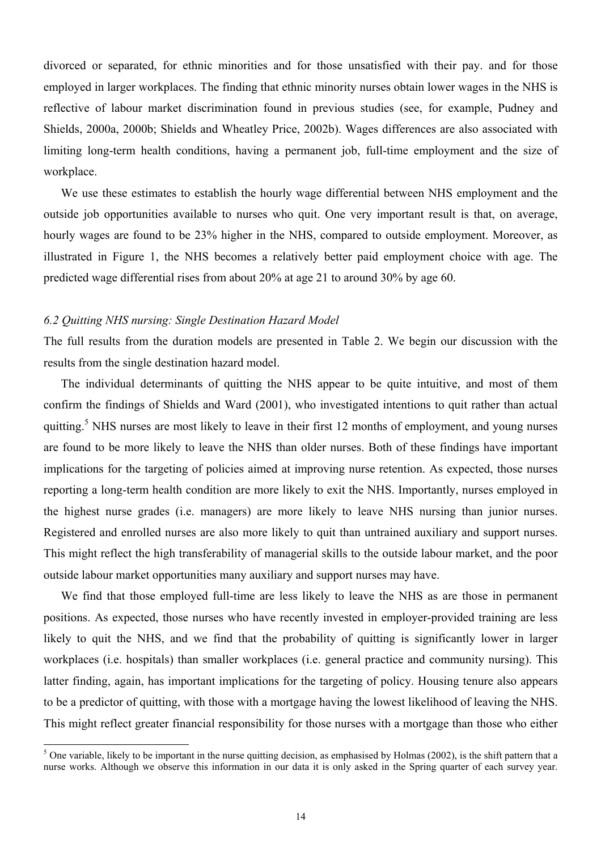divorced or separated, for ethnic minorities and for those unsatisfied with their pay. and for those employed in larger workplaces. The finding that ethnic minority nurses obtain lower wages in the NHS is reflective of labour market discrimination found in previous studies (see, for example, Pudney and Shields, 2000a, 2000b; Shields and Wheatley Price, 2002b). Wages differences are also associated with limiting long-term health conditions, having a permanent job, full-time employment and the size of workplace.

 We use these estimates to establish the hourly wage differential between NHS employment and the outside job opportunities available to nurses who quit. One very important result is that, on average, hourly wages are found to be 23% higher in the NHS, compared to outside employment. Moreover, as illustrated in Figure 1, the NHS becomes a relatively better paid employment choice with age. The predicted wage differential rises from about 20% at age 21 to around 30% by age 60.

#### *6.2 Quitting NHS nursing: Single Destination Hazard Model*

The full results from the duration models are presented in Table 2. We begin our discussion with the results from the single destination hazard model.

 The individual determinants of quitting the NHS appear to be quite intuitive, and most of them confirm the findings of Shields and Ward (2001), who investigated intentions to quit rather than actual quitting.<sup>5</sup> NHS nurses are most likely to leave in their first 12 months of employment, and young nurses are found to be more likely to leave the NHS than older nurses. Both of these findings have important implications for the targeting of policies aimed at improving nurse retention. As expected, those nurses reporting a long-term health condition are more likely to exit the NHS. Importantly, nurses employed in the highest nurse grades (i.e. managers) are more likely to leave NHS nursing than junior nurses. Registered and enrolled nurses are also more likely to quit than untrained auxiliary and support nurses. This might reflect the high transferability of managerial skills to the outside labour market, and the poor outside labour market opportunities many auxiliary and support nurses may have.

We find that those employed full-time are less likely to leave the NHS as are those in permanent positions. As expected, those nurses who have recently invested in employer-provided training are less likely to quit the NHS, and we find that the probability of quitting is significantly lower in larger workplaces (i.e. hospitals) than smaller workplaces (i.e. general practice and community nursing). This latter finding, again, has important implications for the targeting of policy. Housing tenure also appears to be a predictor of quitting, with those with a mortgage having the lowest likelihood of leaving the NHS. This might reflect greater financial responsibility for those nurses with a mortgage than those who either

<sup>&</sup>lt;sup>5</sup> One variable, likely to be important in the nurse quitting decision, as emphasised by Holmas (2002), is the shift pattern that a nurse works. Although we observe this information in our data it is only asked in the Spring quarter of each survey year.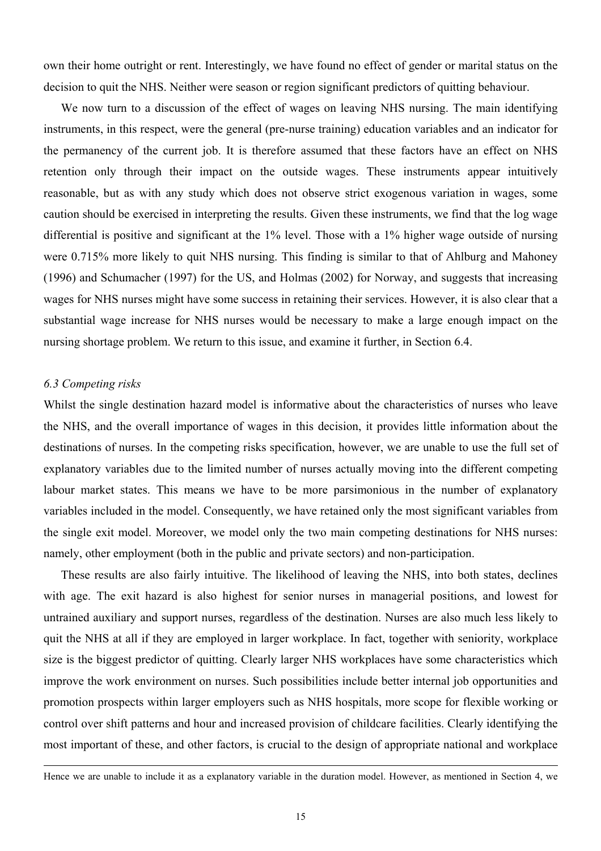own their home outright or rent. Interestingly, we have found no effect of gender or marital status on the decision to quit the NHS. Neither were season or region significant predictors of quitting behaviour.

We now turn to a discussion of the effect of wages on leaving NHS nursing. The main identifying instruments, in this respect, were the general (pre-nurse training) education variables and an indicator for the permanency of the current job. It is therefore assumed that these factors have an effect on NHS retention only through their impact on the outside wages. These instruments appear intuitively reasonable, but as with any study which does not observe strict exogenous variation in wages, some caution should be exercised in interpreting the results. Given these instruments, we find that the log wage differential is positive and significant at the 1% level. Those with a 1% higher wage outside of nursing were 0.715% more likely to quit NHS nursing. This finding is similar to that of Ahlburg and Mahoney (1996) and Schumacher (1997) for the US, and Holmas (2002) for Norway, and suggests that increasing wages for NHS nurses might have some success in retaining their services. However, it is also clear that a substantial wage increase for NHS nurses would be necessary to make a large enough impact on the nursing shortage problem. We return to this issue, and examine it further, in Section 6.4.

### *6.3 Competing risks*

 $\overline{a}$ 

Whilst the single destination hazard model is informative about the characteristics of nurses who leave the NHS, and the overall importance of wages in this decision, it provides little information about the destinations of nurses. In the competing risks specification, however, we are unable to use the full set of explanatory variables due to the limited number of nurses actually moving into the different competing labour market states. This means we have to be more parsimonious in the number of explanatory variables included in the model. Consequently, we have retained only the most significant variables from the single exit model. Moreover, we model only the two main competing destinations for NHS nurses: namely, other employment (both in the public and private sectors) and non-participation.

 These results are also fairly intuitive. The likelihood of leaving the NHS, into both states, declines with age. The exit hazard is also highest for senior nurses in managerial positions, and lowest for untrained auxiliary and support nurses, regardless of the destination. Nurses are also much less likely to quit the NHS at all if they are employed in larger workplace. In fact, together with seniority, workplace size is the biggest predictor of quitting. Clearly larger NHS workplaces have some characteristics which improve the work environment on nurses. Such possibilities include better internal job opportunities and promotion prospects within larger employers such as NHS hospitals, more scope for flexible working or control over shift patterns and hour and increased provision of childcare facilities. Clearly identifying the most important of these, and other factors, is crucial to the design of appropriate national and workplace

Hence we are unable to include it as a explanatory variable in the duration model. However, as mentioned in Section 4, we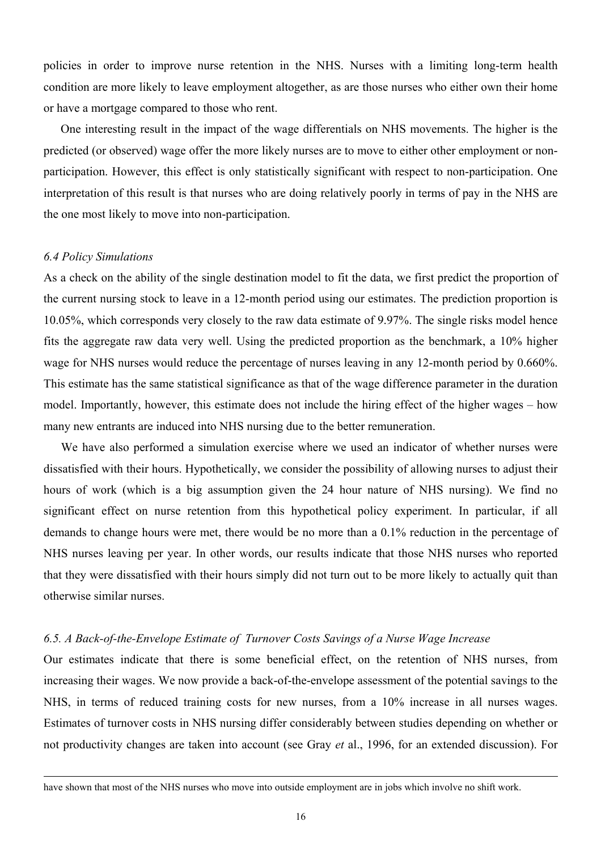policies in order to improve nurse retention in the NHS. Nurses with a limiting long-term health condition are more likely to leave employment altogether, as are those nurses who either own their home or have a mortgage compared to those who rent.

One interesting result in the impact of the wage differentials on NHS movements. The higher is the predicted (or observed) wage offer the more likely nurses are to move to either other employment or nonparticipation. However, this effect is only statistically significant with respect to non-participation. One interpretation of this result is that nurses who are doing relatively poorly in terms of pay in the NHS are the one most likely to move into non-participation.

#### *6.4 Policy Simulations*

 $\overline{a}$ 

As a check on the ability of the single destination model to fit the data, we first predict the proportion of the current nursing stock to leave in a 12-month period using our estimates. The prediction proportion is 10.05%, which corresponds very closely to the raw data estimate of 9.97%. The single risks model hence fits the aggregate raw data very well. Using the predicted proportion as the benchmark, a 10% higher wage for NHS nurses would reduce the percentage of nurses leaving in any 12-month period by 0.660%. This estimate has the same statistical significance as that of the wage difference parameter in the duration model. Importantly, however, this estimate does not include the hiring effect of the higher wages – how many new entrants are induced into NHS nursing due to the better remuneration.

 We have also performed a simulation exercise where we used an indicator of whether nurses were dissatisfied with their hours. Hypothetically, we consider the possibility of allowing nurses to adjust their hours of work (which is a big assumption given the 24 hour nature of NHS nursing). We find no significant effect on nurse retention from this hypothetical policy experiment. In particular, if all demands to change hours were met, there would be no more than a 0.1% reduction in the percentage of NHS nurses leaving per year. In other words, our results indicate that those NHS nurses who reported that they were dissatisfied with their hours simply did not turn out to be more likely to actually quit than otherwise similar nurses.

### *6.5. A Back-of-the-Envelope Estimate of Turnover Costs Savings of a Nurse Wage Increase*

Our estimates indicate that there is some beneficial effect, on the retention of NHS nurses, from increasing their wages. We now provide a back-of-the-envelope assessment of the potential savings to the NHS, in terms of reduced training costs for new nurses, from a 10% increase in all nurses wages. Estimates of turnover costs in NHS nursing differ considerably between studies depending on whether or not productivity changes are taken into account (see Gray *et* al., 1996, for an extended discussion). For

have shown that most of the NHS nurses who move into outside employment are in jobs which involve no shift work.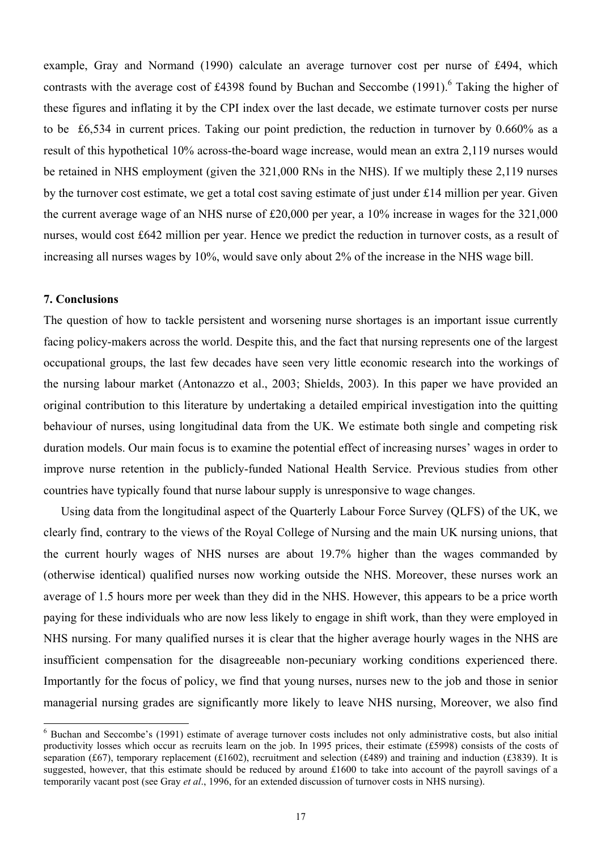example, Gray and Normand (1990) calculate an average turnover cost per nurse of £494, which contrasts with the average cost of £4398 found by Buchan and Seccombe  $(1991)$ .<sup>6</sup> Taking the higher of these figures and inflating it by the CPI index over the last decade, we estimate turnover costs per nurse to be £6,534 in current prices. Taking our point prediction, the reduction in turnover by 0.660% as a result of this hypothetical 10% across-the-board wage increase, would mean an extra 2,119 nurses would be retained in NHS employment (given the 321,000 RNs in the NHS). If we multiply these 2,119 nurses by the turnover cost estimate, we get a total cost saving estimate of just under £14 million per year. Given the current average wage of an NHS nurse of £20,000 per year, a 10% increase in wages for the 321,000 nurses, would cost £642 million per year. Hence we predict the reduction in turnover costs, as a result of increasing all nurses wages by 10%, would save only about 2% of the increase in the NHS wage bill.

## **7. Conclusions**

 $\overline{a}$ 

The question of how to tackle persistent and worsening nurse shortages is an important issue currently facing policy-makers across the world. Despite this, and the fact that nursing represents one of the largest occupational groups, the last few decades have seen very little economic research into the workings of the nursing labour market (Antonazzo et al., 2003; Shields, 2003). In this paper we have provided an original contribution to this literature by undertaking a detailed empirical investigation into the quitting behaviour of nurses, using longitudinal data from the UK. We estimate both single and competing risk duration models. Our main focus is to examine the potential effect of increasing nurses' wages in order to improve nurse retention in the publicly-funded National Health Service. Previous studies from other countries have typically found that nurse labour supply is unresponsive to wage changes.

 Using data from the longitudinal aspect of the Quarterly Labour Force Survey (QLFS) of the UK, we clearly find, contrary to the views of the Royal College of Nursing and the main UK nursing unions, that the current hourly wages of NHS nurses are about 19.7% higher than the wages commanded by (otherwise identical) qualified nurses now working outside the NHS. Moreover, these nurses work an average of 1.5 hours more per week than they did in the NHS. However, this appears to be a price worth paying for these individuals who are now less likely to engage in shift work, than they were employed in NHS nursing. For many qualified nurses it is clear that the higher average hourly wages in the NHS are insufficient compensation for the disagreeable non-pecuniary working conditions experienced there. Importantly for the focus of policy, we find that young nurses, nurses new to the job and those in senior managerial nursing grades are significantly more likely to leave NHS nursing, Moreover, we also find

<sup>&</sup>lt;sup>6</sup> Buchan and Seccombe's (1991) estimate of average turnover costs includes not only administrative costs, but also initial productivity losses which occur as recruits learn on the job. In 1995 prices, their estimate (£5998) consists of the costs of separation (£67), temporary replacement (£1602), recruitment and selection (£489) and training and induction (£3839). It is suggested, however, that this estimate should be reduced by around £1600 to take into account of the payroll savings of a temporarily vacant post (see Gray *et al*., 1996, for an extended discussion of turnover costs in NHS nursing).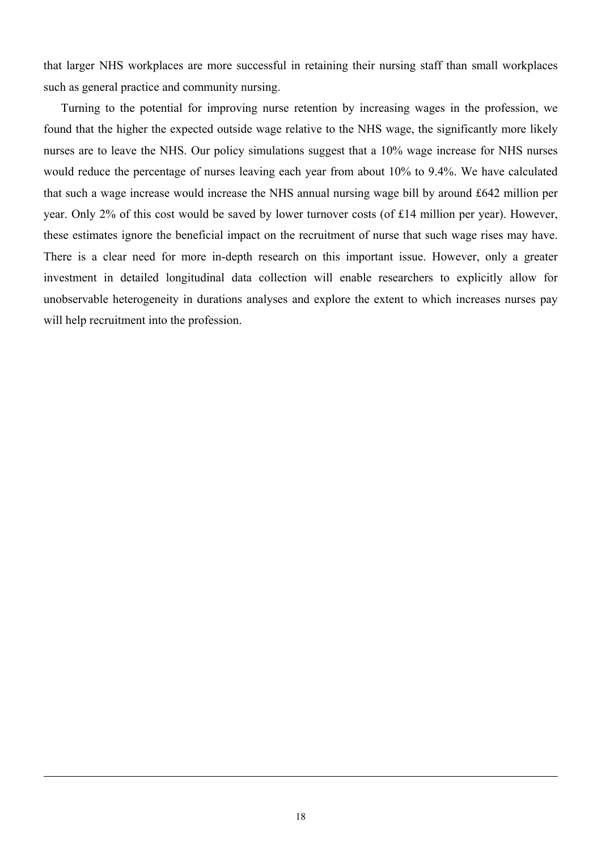that larger NHS workplaces are more successful in retaining their nursing staff than small workplaces such as general practice and community nursing.

 Turning to the potential for improving nurse retention by increasing wages in the profession, we found that the higher the expected outside wage relative to the NHS wage, the significantly more likely nurses are to leave the NHS. Our policy simulations suggest that a 10% wage increase for NHS nurses would reduce the percentage of nurses leaving each year from about 10% to 9.4%. We have calculated that such a wage increase would increase the NHS annual nursing wage bill by around £642 million per year. Only 2% of this cost would be saved by lower turnover costs (of £14 million per year). However, these estimates ignore the beneficial impact on the recruitment of nurse that such wage rises may have. There is a clear need for more in-depth research on this important issue. However, only a greater investment in detailed longitudinal data collection will enable researchers to explicitly allow for unobservable heterogeneity in durations analyses and explore the extent to which increases nurses pay will help recruitment into the profession.

 $\overline{a}$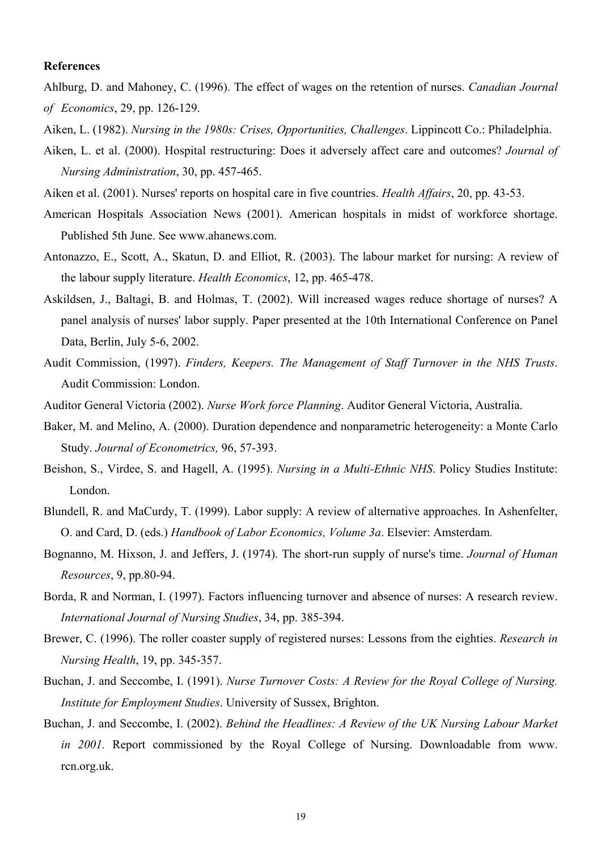### **References**

Ahlburg, D. and Mahoney, C. (1996). The effect of wages on the retention of nurses. *Canadian Journal of Economics*, 29, pp. 126-129.

- Aiken, L. (1982). *Nursing in the 1980s: Crises, Opportunities, Challenges*. Lippincott Co.: Philadelphia.
- Aiken, L. et al. (2000). Hospital restructuring: Does it adversely affect care and outcomes? *Journal of Nursing Administration*, 30, pp. 457-465.
- Aiken et al. (2001). Nurses' reports on hospital care in five countries. *Health Affairs*, 20, pp. 43-53.
- American Hospitals Association News (2001). American hospitals in midst of workforce shortage. Published 5th June. See www.ahanews.com.
- Antonazzo, E., Scott, A., Skatun, D. and Elliot, R. (2003). The labour market for nursing: A review of the labour supply literature. *Health Economics*, 12, pp. 465-478.
- Askildsen, J., Baltagi, B. and Holmas, T. (2002). Will increased wages reduce shortage of nurses? A panel analysis of nurses' labor supply. Paper presented at the 10th International Conference on Panel Data, Berlin, July 5-6, 2002.
- Audit Commission, (1997). *Finders, Keepers. The Management of Staff Turnover in the NHS Trusts*. Audit Commission: London.
- Auditor General Victoria (2002). *Nurse Work force Planning*. Auditor General Victoria, Australia.
- Baker, M. and Melino, A. (2000). Duration dependence and nonparametric heterogeneity: a Monte Carlo Study. *Journal of Econometrics,* 96, 57-393.
- Beishon, S., Virdee, S. and Hagell, A. (1995). *Nursing in a Multi-Ethnic NHS*. Policy Studies Institute: London.
- Blundell, R. and MaCurdy, T. (1999). Labor supply: A review of alternative approaches. In Ashenfelter, O. and Card, D. (eds.) *Handbook of Labor Economics, Volume 3a*. Elsevier: Amsterdam.
- Bognanno, M. Hixson, J. and Jeffers, J. (1974). The short-run supply of nurse's time. *Journal of Human Resources*, 9, pp.80-94.
- Borda, R and Norman, I. (1997). Factors influencing turnover and absence of nurses: A research review. *International Journal of Nursing Studies*, 34, pp. 385-394.
- Brewer, C. (1996). The roller coaster supply of registered nurses: Lessons from the eighties. *Research in Nursing Health*, 19, pp. 345-357.
- Buchan, J. and Seccombe, I. (1991). *Nurse Turnover Costs: A Review for the Royal College of Nursing. Institute for Employment Studies*. University of Sussex, Brighton.
- Buchan, J. and Seccombe, I. (2002). *Behind the Headlines: A Review of the UK Nursing Labour Market in 2001*. Report commissioned by the Royal College of Nursing. Downloadable from www. rcn.org.uk.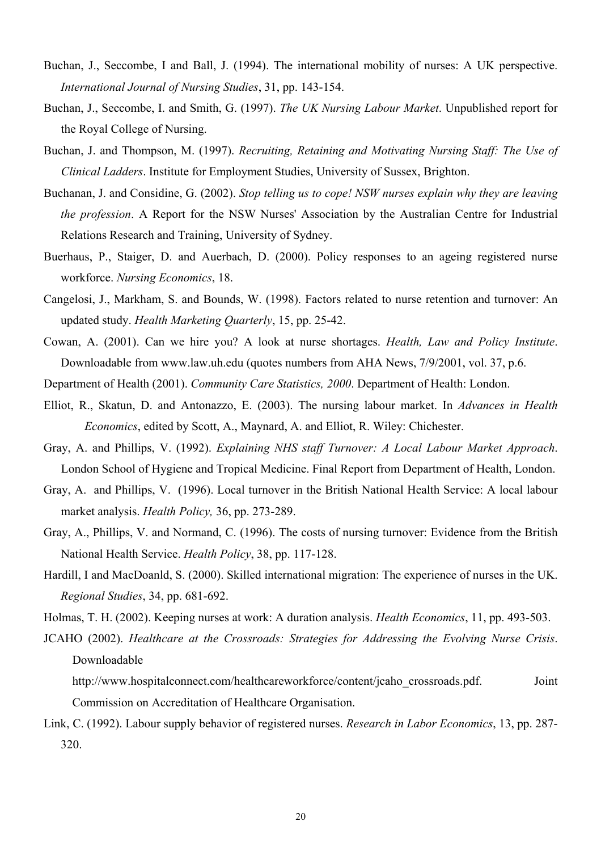- Buchan, J., Seccombe, I and Ball, J. (1994). The international mobility of nurses: A UK perspective. *International Journal of Nursing Studies*, 31, pp. 143-154.
- Buchan, J., Seccombe, I. and Smith, G. (1997). *The UK Nursing Labour Market*. Unpublished report for the Royal College of Nursing.
- Buchan, J. and Thompson, M. (1997). *Recruiting, Retaining and Motivating Nursing Staff: The Use of Clinical Ladders*. Institute for Employment Studies, University of Sussex, Brighton.
- Buchanan, J. and Considine, G. (2002). *Stop telling us to cope! NSW nurses explain why they are leaving the profession*. A Report for the NSW Nurses' Association by the Australian Centre for Industrial Relations Research and Training, University of Sydney.
- Buerhaus, P., Staiger, D. and Auerbach, D. (2000). Policy responses to an ageing registered nurse workforce. *Nursing Economics*, 18.
- Cangelosi, J., Markham, S. and Bounds, W. (1998). Factors related to nurse retention and turnover: An updated study. *Health Marketing Quarterly*, 15, pp. 25-42.
- Cowan, A. (2001). Can we hire you? A look at nurse shortages. *Health, Law and Policy Institute*. Downloadable from www.law.uh.edu (quotes numbers from AHA News, 7/9/2001, vol. 37, p.6.
- Department of Health (2001). *Community Care Statistics, 2000*. Department of Health: London.
- Elliot, R., Skatun, D. and Antonazzo, E. (2003). The nursing labour market. In *Advances in Health Economics*, edited by Scott, A., Maynard, A. and Elliot, R. Wiley: Chichester.
- Gray, A. and Phillips, V. (1992). *Explaining NHS staff Turnover: A Local Labour Market Approach*. London School of Hygiene and Tropical Medicine. Final Report from Department of Health, London.
- Gray, A. and Phillips, V. (1996). Local turnover in the British National Health Service: A local labour market analysis. *Health Policy,* 36, pp. 273-289.
- Gray, A., Phillips, V. and Normand, C. (1996). The costs of nursing turnover: Evidence from the British National Health Service. *Health Policy*, 38, pp. 117-128.
- Hardill, I and MacDoanld, S. (2000). Skilled international migration: The experience of nurses in the UK. *Regional Studies*, 34, pp. 681-692.
- Holmas, T. H. (2002). Keeping nurses at work: A duration analysis. *Health Economics*, 11, pp. 493-503.
- JCAHO (2002). *Healthcare at the Crossroads: Strategies for Addressing the Evolving Nurse Crisis*. Downloadable
	- http://www.hospitalconnect.com/healthcareworkforce/content/jcaho\_crossroads.pdf. Joint Commission on Accreditation of Healthcare Organisation.
- Link, C. (1992). Labour supply behavior of registered nurses. *Research in Labor Economics*, 13, pp. 287- 320.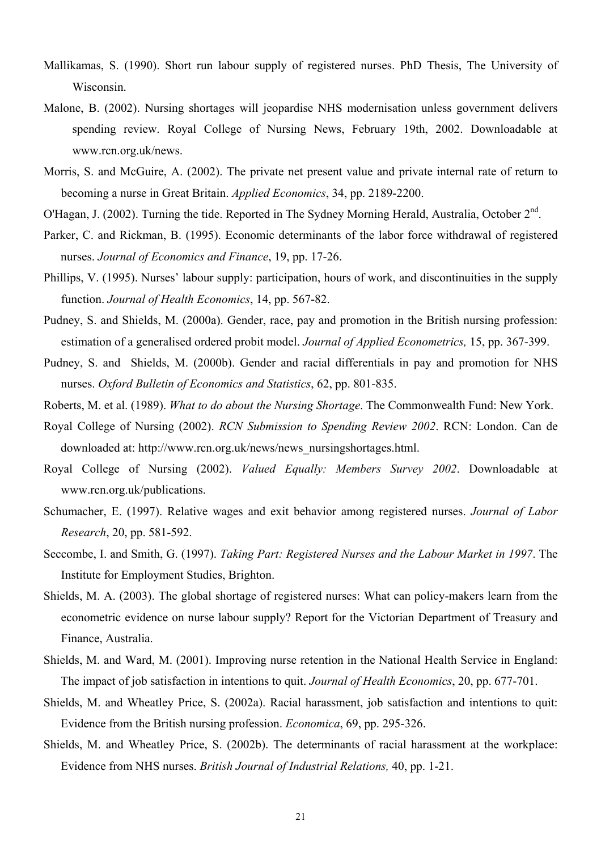- Mallikamas, S. (1990). Short run labour supply of registered nurses. PhD Thesis, The University of Wisconsin.
- Malone, B. (2002). Nursing shortages will jeopardise NHS modernisation unless government delivers spending review. Royal College of Nursing News, February 19th, 2002. Downloadable at www.rcn.org.uk/news.
- Morris, S. and McGuire, A. (2002). The private net present value and private internal rate of return to becoming a nurse in Great Britain. *Applied Economics*, 34, pp. 2189-2200.
- O'Hagan, J. (2002). Turning the tide. Reported in The Sydney Morning Herald, Australia, October 2<sup>nd</sup>.
- Parker, C. and Rickman, B. (1995). Economic determinants of the labor force withdrawal of registered nurses. *Journal of Economics and Finance*, 19, pp. 17-26.
- Phillips, V. (1995). Nurses' labour supply: participation, hours of work, and discontinuities in the supply function. *Journal of Health Economics*, 14, pp. 567-82.
- Pudney, S. and Shields, M. (2000a). Gender, race, pay and promotion in the British nursing profession: estimation of a generalised ordered probit model. *Journal of Applied Econometrics,* 15, pp. 367-399.
- Pudney, S. and Shields, M. (2000b). Gender and racial differentials in pay and promotion for NHS nurses. *Oxford Bulletin of Economics and Statistics*, 62, pp. 801-835.
- Roberts, M. et al. (1989). *What to do about the Nursing Shortage*. The Commonwealth Fund: New York.
- Royal College of Nursing (2002). *RCN Submission to Spending Review 2002*. RCN: London. Can de downloaded at: http://www.rcn.org.uk/news/news\_nursingshortages.html.
- Royal College of Nursing (2002). *Valued Equally: Members Survey 2002*. Downloadable at www.rcn.org.uk/publications.
- Schumacher, E. (1997). Relative wages and exit behavior among registered nurses. *Journal of Labor Research*, 20, pp. 581-592.
- Seccombe, I. and Smith, G. (1997). *Taking Part: Registered Nurses and the Labour Market in 1997*. The Institute for Employment Studies, Brighton.
- Shields, M. A. (2003). The global shortage of registered nurses: What can policy-makers learn from the econometric evidence on nurse labour supply? Report for the Victorian Department of Treasury and Finance, Australia.
- Shields, M. and Ward, M. (2001). Improving nurse retention in the National Health Service in England: The impact of job satisfaction in intentions to quit. *Journal of Health Economics*, 20, pp. 677-701.
- Shields, M. and Wheatley Price, S. (2002a). Racial harassment, job satisfaction and intentions to quit: Evidence from the British nursing profession. *Economica*, 69, pp. 295-326.
- Shields, M. and Wheatley Price, S. (2002b). The determinants of racial harassment at the workplace: Evidence from NHS nurses. *British Journal of Industrial Relations,* 40, pp. 1-21.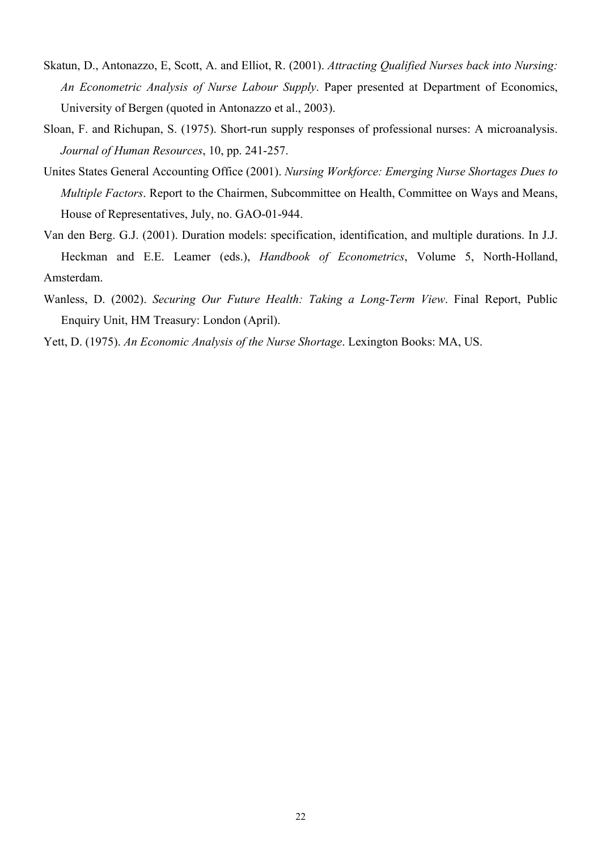- Skatun, D., Antonazzo, E, Scott, A. and Elliot, R. (2001). *Attracting Qualified Nurses back into Nursing: An Econometric Analysis of Nurse Labour Supply*. Paper presented at Department of Economics, University of Bergen (quoted in Antonazzo et al., 2003).
- Sloan, F. and Richupan, S. (1975). Short-run supply responses of professional nurses: A microanalysis. *Journal of Human Resources*, 10, pp. 241-257.
- Unites States General Accounting Office (2001). *Nursing Workforce: Emerging Nurse Shortages Dues to Multiple Factors*. Report to the Chairmen, Subcommittee on Health, Committee on Ways and Means, House of Representatives, July, no. GAO-01-944.
- Van den Berg. G.J. (2001). Duration models: specification, identification, and multiple durations. In J.J. Heckman and E.E. Leamer (eds.), *Handbook of Econometrics*, Volume 5, North-Holland, Amsterdam.
- Wanless, D. (2002). *Securing Our Future Health: Taking a Long-Term View*. Final Report, Public Enquiry Unit, HM Treasury: London (April).

Yett, D. (1975). *An Economic Analysis of the Nurse Shortage*. Lexington Books: MA, US.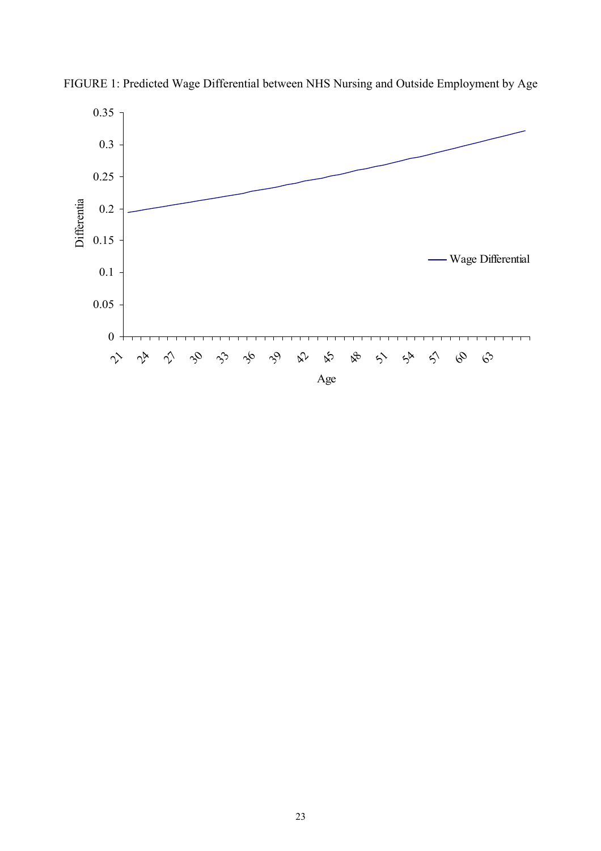

FIGURE 1: Predicted Wage Differential between NHS Nursing and Outside Employment by Age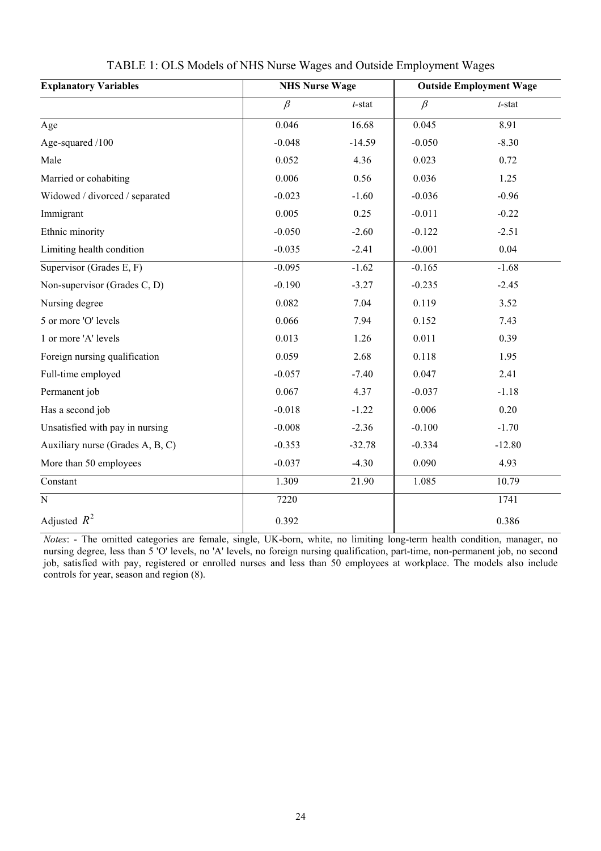| <b>Explanatory Variables</b>     | <b>NHS Nurse Wage</b> |           | <b>Outside Employment Wage</b> |           |  |
|----------------------------------|-----------------------|-----------|--------------------------------|-----------|--|
|                                  | $\beta$               | $t$ -stat | $\beta$                        | $t$ -stat |  |
| Age                              | 0.046                 | 16.68     | 0.045                          | 8.91      |  |
| Age-squared /100                 | $-0.048$              | $-14.59$  | $-0.050$                       | $-8.30$   |  |
| Male                             | 0.052                 | 4.36      | 0.023                          | 0.72      |  |
| Married or cohabiting            | 0.006                 | 0.56      | 0.036                          | 1.25      |  |
| Widowed / divorced / separated   | $-0.023$              | $-1.60$   | $-0.036$                       | $-0.96$   |  |
| Immigrant                        | 0.005                 | 0.25      | $-0.011$                       | $-0.22$   |  |
| Ethnic minority                  | $-0.050$              | $-2.60$   | $-0.122$                       | $-2.51$   |  |
| Limiting health condition        | $-0.035$              | $-2.41$   | $-0.001$                       | 0.04      |  |
| Supervisor (Grades E, F)         | $-0.095$              | $-1.62$   | $-0.165$                       | $-1.68$   |  |
| Non-supervisor (Grades C, D)     | $-0.190$              | $-3.27$   | $-0.235$                       | $-2.45$   |  |
| Nursing degree                   | 0.082                 | 7.04      | 0.119                          | 3.52      |  |
| 5 or more 'O' levels             | 0.066                 | 7.94      | 0.152                          | 7.43      |  |
| 1 or more 'A' levels             | 0.013                 | 1.26      | 0.011                          | 0.39      |  |
| Foreign nursing qualification    | 0.059                 | 2.68      | 0.118                          | 1.95      |  |
| Full-time employed               | $-0.057$              | $-7.40$   | 0.047                          | 2.41      |  |
| Permanent job                    | 0.067                 | 4.37      | $-0.037$                       | $-1.18$   |  |
| Has a second job                 | $-0.018$              | $-1.22$   | 0.006                          | 0.20      |  |
| Unsatisfied with pay in nursing  | $-0.008$              | $-2.36$   | $-0.100$                       | $-1.70$   |  |
| Auxiliary nurse (Grades A, B, C) | $-0.353$              | $-32.78$  | $-0.334$                       | $-12.80$  |  |
| More than 50 employees           | $-0.037$              | $-4.30$   | 0.090                          | 4.93      |  |
| Constant                         | 1.309                 | 21.90     | 1.085                          | 10.79     |  |
| $\overline{\text{N}}$            | 7220                  |           |                                | 1741      |  |
| Adjusted $R^2$                   | 0.392                 |           |                                | 0.386     |  |

## TABLE 1: OLS Models of NHS Nurse Wages and Outside Employment Wages

*Notes*: - The omitted categories are female, single, UK-born, white, no limiting long-term health condition, manager, no nursing degree, less than 5 'O' levels, no 'A' levels, no foreign nursing qualification, part-time, non-permanent job, no second job, satisfied with pay, registered or enrolled nurses and less than 50 employees at workplace. The models also include controls for year, season and region (8).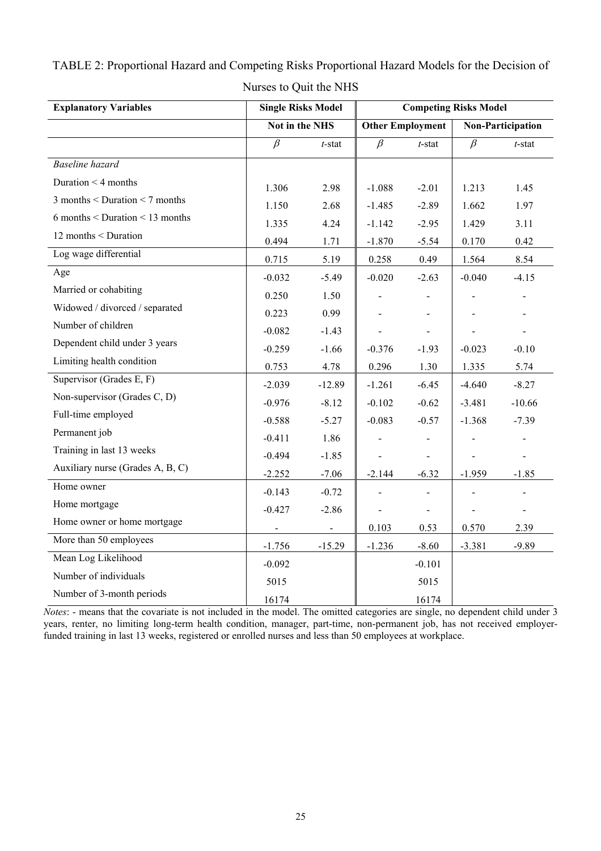| <b>Explanatory Variables</b>      | <b>Single Risks Model</b> |                | <b>Competing Risks Model</b> |                              |                          |                              |
|-----------------------------------|---------------------------|----------------|------------------------------|------------------------------|--------------------------|------------------------------|
|                                   | Not in the NHS            |                | <b>Other Employment</b>      |                              | <b>Non-Participation</b> |                              |
|                                   | $\beta$                   | $t$ -stat      | $\beta$                      | $t$ -stat                    | $\beta$                  | $t$ -stat                    |
| <b>Baseline</b> hazard            |                           |                |                              |                              |                          |                              |
| Duration $\leq 4$ months          | 1.306                     | 2.98           | $-1.088$                     | $-2.01$                      | 1.213                    | 1.45                         |
| $3$ months < Duration < 7 months  | 1.150                     | 2.68           | $-1.485$                     | $-2.89$                      | 1.662                    | 1.97                         |
| $6$ months < Duration < 13 months | 1.335                     | 4.24           | $-1.142$                     | $-2.95$                      | 1.429                    | 3.11                         |
| 12 months < Duration              | 0.494                     | 1.71           | $-1.870$                     | $-5.54$                      | 0.170                    | 0.42                         |
| Log wage differential             | 0.715                     | 5.19           | 0.258                        | 0.49                         | 1.564                    | 8.54                         |
| Age                               | $-0.032$                  | $-5.49$        | $-0.020$                     | $-2.63$                      | $-0.040$                 | $-4.15$                      |
| Married or cohabiting             | 0.250                     | 1.50           |                              | $\blacksquare$               |                          | $\overline{\phantom{a}}$     |
| Widowed / divorced / separated    | 0.223                     | 0.99           |                              |                              |                          |                              |
| Number of children                | $-0.082$                  | $-1.43$        |                              | $\overline{\phantom{0}}$     |                          |                              |
| Dependent child under 3 years     | $-0.259$                  | $-1.66$        | $-0.376$                     | $-1.93$                      | $-0.023$                 | $-0.10$                      |
| Limiting health condition         | 0.753                     | 4.78           | 0.296                        | 1.30                         | 1.335                    | 5.74                         |
| Supervisor (Grades E, F)          | $-2.039$                  | $-12.89$       | $-1.261$                     | $-6.45$                      | $-4.640$                 | $-8.27$                      |
| Non-supervisor (Grades C, D)      | $-0.976$                  | $-8.12$        | $-0.102$                     | $-0.62$                      | $-3.481$                 | $-10.66$                     |
| Full-time employed                | $-0.588$                  | $-5.27$        | $-0.083$                     | $-0.57$                      | $-1.368$                 | $-7.39$                      |
| Permanent job                     | $-0.411$                  | 1.86           | $\qquad \qquad \blacksquare$ | $\overline{\phantom{0}}$     |                          | $\qquad \qquad \blacksquare$ |
| Training in last 13 weeks         | $-0.494$                  | $-1.85$        |                              | $\overline{\phantom{a}}$     |                          | $\frac{1}{2}$                |
| Auxiliary nurse (Grades A, B, C)  | $-2.252$                  | $-7.06$        | $-2.144$                     | $-6.32$                      | $-1.959$                 | $-1.85$                      |
| Home owner                        | $-0.143$                  | $-0.72$        |                              | $\qquad \qquad \blacksquare$ |                          |                              |
| Home mortgage                     | $-0.427$                  | $-2.86$        |                              | $\overline{\phantom{a}}$     |                          | $\overline{\phantom{a}}$     |
| Home owner or home mortgage       | $\blacksquare$            | $\blacksquare$ | 0.103                        | 0.53                         | 0.570                    | 2.39                         |
| More than 50 employees            | $-1.756$                  | $-15.29$       | $-1.236$                     | $-8.60$                      | $-3.381$                 | $-9.89$                      |
| Mean Log Likelihood               | $-0.092$                  |                |                              | $-0.101$                     |                          |                              |
| Number of individuals             | 5015                      |                |                              | 5015                         |                          |                              |
| Number of 3-month periods         | 16174                     |                |                              | 16174                        |                          |                              |

TABLE 2: Proportional Hazard and Competing Risks Proportional Hazard Models for the Decision of Nurses to Quit the NHS

*Notes*: - means that the covariate is not included in the model. The omitted categories are single, no dependent child under 3 years, renter, no limiting long-term health condition, manager, part-time, non-permanent job, has not received employerfunded training in last 13 weeks, registered or enrolled nurses and less than 50 employees at workplace.